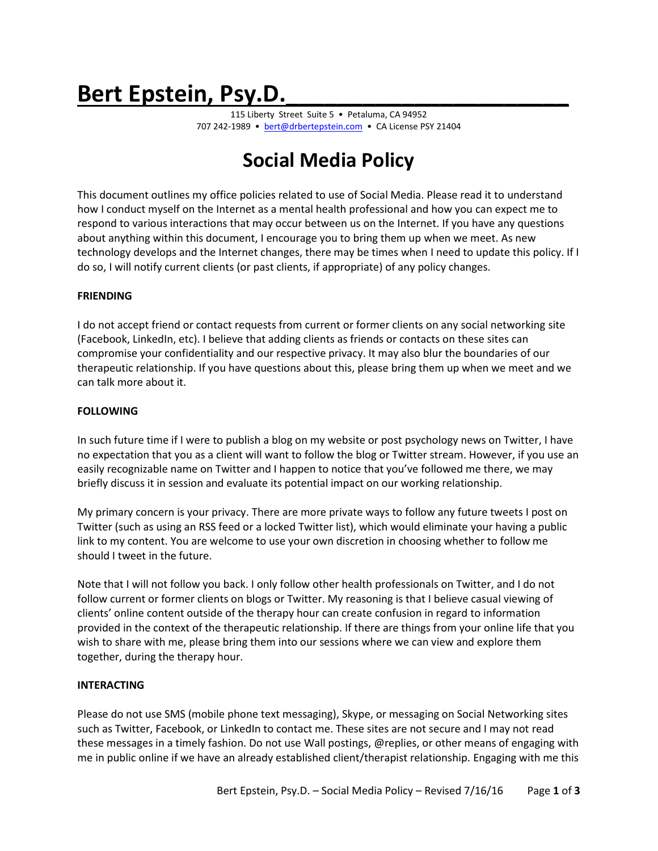# Bert Epstein, Psy.D.

115 Liberty Street Suite 5 • Petaluma, CA 94952 707 242-1989 • [bert@drbertepstein.com](mailto:bert@drbertepstein.com) • CA License PSY 21404

# **Social Media Policy**

This document outlines my office policies related to use of Social Media. Please read it to understand how I conduct myself on the Internet as a mental health professional and how you can expect me to respond to various interactions that may occur between us on the Internet. If you have any questions about anything within this document, I encourage you to bring them up when we meet. As new technology develops and the Internet changes, there may be times when I need to update this policy. If I do so, I will notify current clients (or past clients, if appropriate) of any policy changes.

# **FRIENDING**

I do not accept friend or contact requests from current or former clients on any social networking site (Facebook, LinkedIn, etc). I believe that adding clients as friends or contacts on these sites can compromise your confidentiality and our respective privacy. It may also blur the boundaries of our therapeutic relationship. If you have questions about this, please bring them up when we meet and we can talk more about it.

# **FOLLOWING**

In such future time if I were to publish a blog on my website or post psychology news on Twitter, I have no expectation that you as a client will want to follow the blog or Twitter stream. However, if you use an easily recognizable name on Twitter and I happen to notice that you've followed me there, we may briefly discuss it in session and evaluate its potential impact on our working relationship.

My primary concern is your privacy. There are more private ways to follow any future tweets I post on Twitter (such as using an RSS feed or a locked Twitter list), which would eliminate your having a public link to my content. You are welcome to use your own discretion in choosing whether to follow me should I tweet in the future.

Note that I will not follow you back. I only follow other health professionals on Twitter, and I do not follow current or former clients on blogs or Twitter. My reasoning is that I believe casual viewing of clients' online content outside of the therapy hour can create confusion in regard to information provided in the context of the therapeutic relationship. If there are things from your online life that you wish to share with me, please bring them into our sessions where we can view and explore them together, during the therapy hour.

# **INTERACTING**

Please do not use SMS (mobile phone text messaging), Skype, or messaging on Social Networking sites such as Twitter, Facebook, or LinkedIn to contact me. These sites are not secure and I may not read these messages in a timely fashion. Do not use Wall postings, @replies, or other means of engaging with me in public online if we have an already established client/therapist relationship. Engaging with me this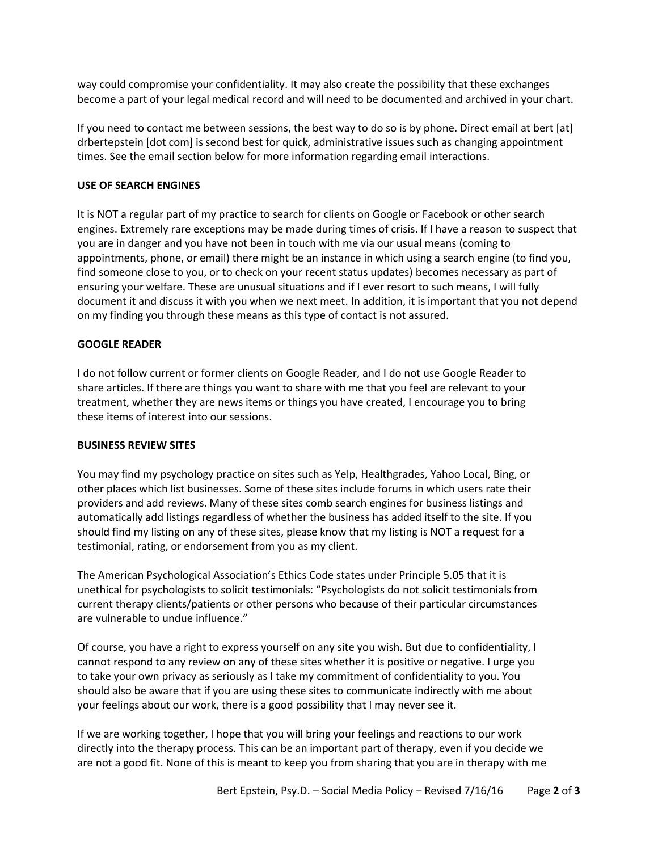way could compromise your confidentiality. It may also create the possibility that these exchanges become a part of your legal medical record and will need to be documented and archived in your chart.

If you need to contact me between sessions, the best way to do so is by phone. Direct email at bert [at] drbertepstein [dot com] is second best for quick, administrative issues such as changing appointment times. See the email section below for more information regarding email interactions.

# **USE OF SEARCH ENGINES**

It is NOT a regular part of my practice to search for clients on Google or Facebook or other search engines. Extremely rare exceptions may be made during times of crisis. If I have a reason to suspect that you are in danger and you have not been in touch with me via our usual means (coming to appointments, phone, or email) there might be an instance in which using a search engine (to find you, find someone close to you, or to check on your recent status updates) becomes necessary as part of ensuring your welfare. These are unusual situations and if I ever resort to such means, I will fully document it and discuss it with you when we next meet. In addition, it is important that you not depend on my finding you through these means as this type of contact is not assured.

#### **GOOGLE READER**

I do not follow current or former clients on Google Reader, and I do not use Google Reader to share articles. If there are things you want to share with me that you feel are relevant to your treatment, whether they are news items or things you have created, I encourage you to bring these items of interest into our sessions.

#### **BUSINESS REVIEW SITES**

You may find my psychology practice on sites such as Yelp, Healthgrades, Yahoo Local, Bing, or other places which list businesses. Some of these sites include forums in which users rate their providers and add reviews. Many of these sites comb search engines for business listings and automatically add listings regardless of whether the business has added itself to the site. If you should find my listing on any of these sites, please know that my listing is NOT a request for a testimonial, rating, or endorsement from you as my client.

The American Psychological Association's Ethics Code states under Principle 5.05 that it is unethical for psychologists to solicit testimonials: "Psychologists do not solicit testimonials from current therapy clients/patients or other persons who because of their particular circumstances are vulnerable to undue influence."

Of course, you have a right to express yourself on any site you wish. But due to confidentiality, I cannot respond to any review on any of these sites whether it is positive or negative. I urge you to take your own privacy as seriously as I take my commitment of confidentiality to you. You should also be aware that if you are using these sites to communicate indirectly with me about your feelings about our work, there is a good possibility that I may never see it.

If we are working together, I hope that you will bring your feelings and reactions to our work directly into the therapy process. This can be an important part of therapy, even if you decide we are not a good fit. None of this is meant to keep you from sharing that you are in therapy with me